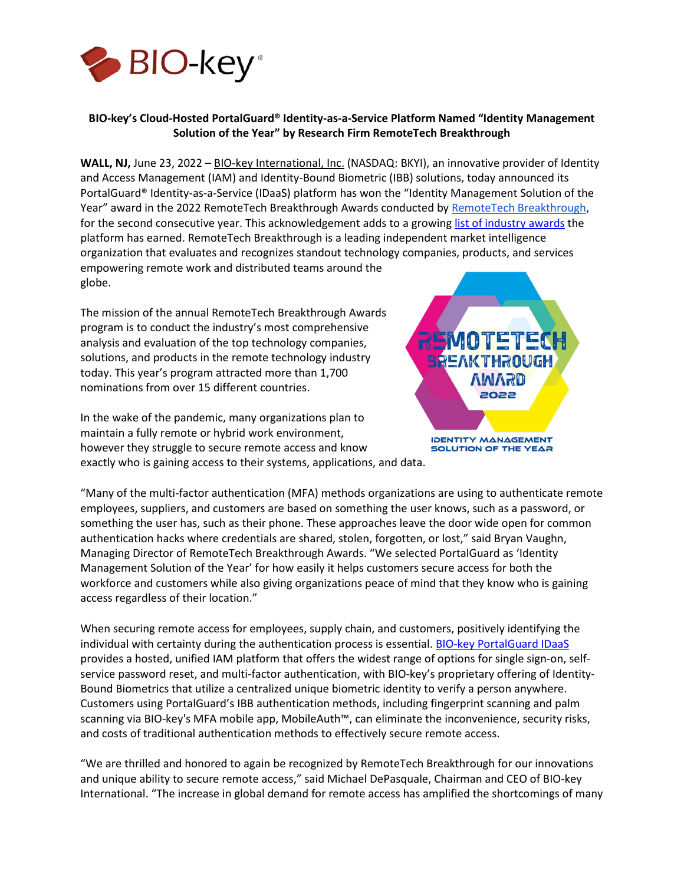

# **BIO-key's Cloud-Hosted PortalGuard® Identity-as-a-Service Platform Named "Identity Management Solution of the Year" by Research Firm RemoteTech Breakthrough**

WALL, NJ, June 23, 2022 - BIO-key International, Inc. (NASDAQ: BKYI), an innovative provider of Identity and Access Management (IAM) and Identity-Bound Biometric (IBB) solutions, today announced its PortalGuard® Identity-as-a-Service (IDaaS) platform has won the "Identity Management Solution of the Year" award in the 2022 RemoteTech Breakthrough Awards conducted by [RemoteTech Breakthrough,](http://www.remotetechbreakthrough.com/) for the second consecutive year. This acknowledgement adds to a growing [list of industry awards](https://www.bio-key.com/awards/) the platform has earned. RemoteTech Breakthrough is a leading independent market intelligence organization that evaluates and recognizes standout technology companies, products, and services empowering remote work and distributed teams around the globe.

The mission of the annual RemoteTech Breakthrough Awards program is to conduct the industry's most comprehensive analysis and evaluation of the top technology companies, solutions, and products in the remote technology industry today. This year's program attracted more than 1,700 nominations from over 15 different countries.

In the wake of the pandemic, many organizations plan to maintain a fully remote or hybrid work environment, however they struggle to secure remote access and know exactly who is gaining access to their systems, applications, and data.



**SOLUTION OF THE YEAR** 

"Many of the multi-factor authentication (MFA) methods organizations are using to authenticate remote employees, suppliers, and customers are based on something the user knows, such as a password, or something the user has, such as their phone. These approaches leave the door wide open for common authentication hacks where credentials are shared, stolen, forgotten, or lost," said Bryan Vaughn, Managing Director of RemoteTech Breakthrough Awards. "We selected PortalGuard as 'Identity Management Solution of the Year' for how easily it helps customers secure access for both the workforce and customers while also giving organizations peace of mind that they know who is gaining access regardless of their location."

When securing remote access for employees, supply chain, and customers, positively identifying the individual with certainty during the authentication process is essential. [BIO-key PortalGuard IDaaS](https://www.bio-key.com/portalguard/) provides a hosted, unified IAM platform that offers the widest range of options for single sign-on, selfservice password reset, and multi-factor authentication, with BIO-key's proprietary offering of Identity-Bound Biometrics that utilize a centralized unique biometric identity to verify a person anywhere. Customers using PortalGuard's IBB authentication methods, including fingerprint scanning and palm scanning via BIO-key's MFA mobile app, MobileAuth™, can eliminate the inconvenience, security risks, and costs of traditional authentication methods to effectively secure remote access.

"We are thrilled and honored to again be recognized by RemoteTech Breakthrough for our innovations and unique ability to secure remote access," said Michael DePasquale, Chairman and CEO of BIO-key International. "The increase in global demand for remote access has amplified the shortcomings of many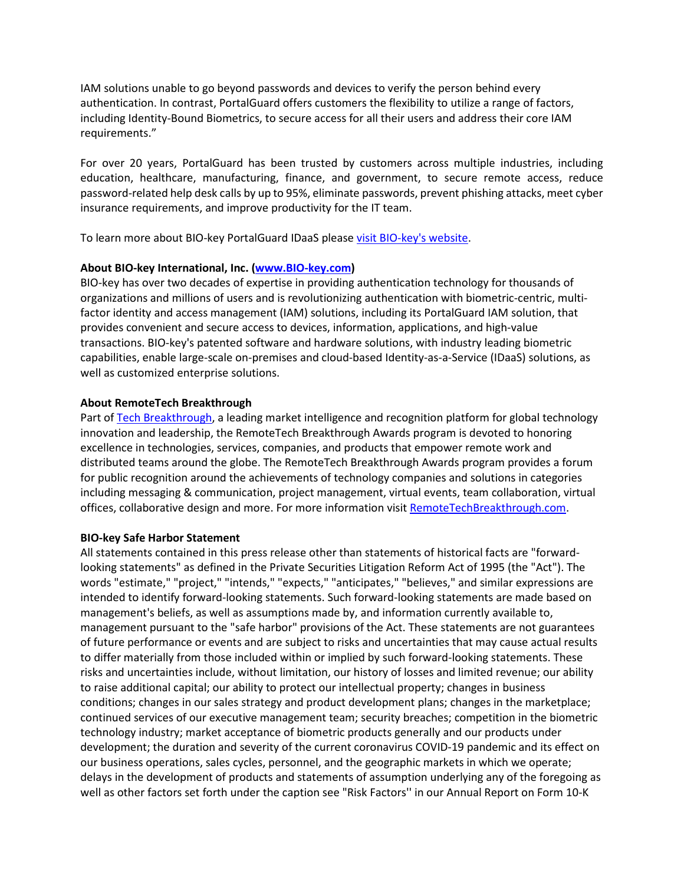IAM solutions unable to go beyond passwords and devices to verify the person behind every authentication. In contrast, PortalGuard offers customers the flexibility to utilize a range of factors, including Identity-Bound Biometrics, to secure access for all their users and address their core IAM requirements."

For over 20 years, PortalGuard has been trusted by customers across multiple industries, including education, healthcare, manufacturing, finance, and government, to secure remote access, reduce password-related help desk calls by up to 95%, eliminate passwords, prevent phishing attacks, meet cyber insurance requirements, and improve productivity for the IT team.

To learn more about BIO-key PortalGuard IDaaS please [visit BIO-key's website.](https://www.bio-key.com/portalguard/)

## **About BIO-key International, Inc. [\(www.BIO-key.com\)](http://www.bio-key.com/)**

BIO-key has over two decades of expertise in providing authentication technology for thousands of organizations and millions of users and is revolutionizing authentication with biometric-centric, multifactor identity and access management (IAM) solutions, including its PortalGuard IAM solution, that provides convenient and secure access to devices, information, applications, and high-value transactions. BIO-key's patented software and hardware solutions, with industry leading biometric capabilities, enable large-scale on-premises and cloud-based Identity-as-a-Service (IDaaS) solutions, as well as customized enterprise solutions.

## **About RemoteTech Breakthrough**

Part o[f Tech Breakthrough,](https://techbreakthrough.com/) a leading market intelligence and recognition platform for global technology innovation and leadership, the RemoteTech Breakthrough Awards program is devoted to honoring excellence in technologies, services, companies, and products that empower remote work and distributed teams around the globe. The RemoteTech Breakthrough Awards program provides a forum for public recognition around the achievements of technology companies and solutions in categories including messaging & communication, project management, virtual events, team collaboration, virtual offices, collaborative design and more. For more information visit [RemoteTechBreakthrough.com.](http://www.remotetechbreakthrough.com/)

### **BIO-key Safe Harbor Statement**

All statements contained in this press release other than statements of historical facts are "forwardlooking statements" as defined in the Private Securities Litigation Reform Act of 1995 (the "Act"). The words "estimate," "project," "intends," "expects," "anticipates," "believes," and similar expressions are intended to identify forward-looking statements. Such forward-looking statements are made based on management's beliefs, as well as assumptions made by, and information currently available to, management pursuant to the "safe harbor" provisions of the Act. These statements are not guarantees of future performance or events and are subject to risks and uncertainties that may cause actual results to differ materially from those included within or implied by such forward-looking statements. These risks and uncertainties include, without limitation, our history of losses and limited revenue; our ability to raise additional capital; our ability to protect our intellectual property; changes in business conditions; changes in our sales strategy and product development plans; changes in the marketplace; continued services of our executive management team; security breaches; competition in the biometric technology industry; market acceptance of biometric products generally and our products under development; the duration and severity of the current coronavirus COVID-19 pandemic and its effect on our business operations, sales cycles, personnel, and the geographic markets in which we operate; delays in the development of products and statements of assumption underlying any of the foregoing as well as other factors set forth under the caption see "Risk Factors'' in our Annual Report on Form 10-K